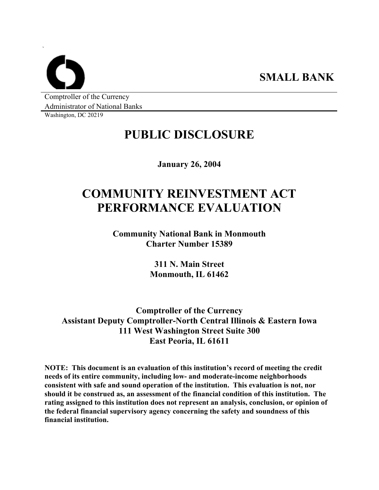Comptroller of the Currency Administrator of National Banks

Washington, DC 20219

`

# **PUBLIC DISCLOSURE**

**January 26, 2004** 

# **COMMUNITY REINVESTMENT ACT PERFORMANCE EVALUATION**

**Community National Bank in Monmouth Charter Number 15389** 

> **311 N. Main Street Monmouth, IL 61462**

**Comptroller of the Currency Assistant Deputy Comptroller-North Central Illinois & Eastern Iowa 111 West Washington Street Suite 300 East Peoria, IL 61611** 

**NOTE: This document is an evaluation of this institution's record of meeting the credit needs of its entire community, including low- and moderate-income neighborhoods consistent with safe and sound operation of the institution. This evaluation is not, nor should it be construed as, an assessment of the financial condition of this institution. The rating assigned to this institution does not represent an analysis, conclusion, or opinion of the federal financial supervisory agency concerning the safety and soundness of this financial institution.**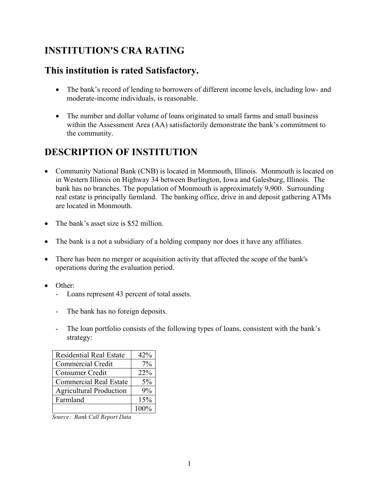# **INSTITUTION'S CRA RATING**

### **This institution is rated Satisfactory.**

- The bank's record of lending to borrowers of different income levels, including low- and moderate-income individuals, is reasonable.
- The number and dollar volume of loans originated to small farms and small business within the Assessment Area (AA) satisfactorily demonstrate the bank's commitment to the community.

# **DESCRIPTION OF INSTITUTION**

- Community National Bank (CNB) is located in Monmouth, Illinois. Monmouth is located on in Western Illinois on Highway 34 between Burlington, Iowa and Galesburg, Illinois. The bank has no branches. The population of Monmouth is approximately 9,900. Surrounding real estate is principally farmland. The banking office, drive in and deposit gathering ATMs are located in Monmouth.
- The bank's asset size is \$52 million.
- The bank is a not a subsidiary of a holding company nor does it have any affiliates.
- There has been no merger or acquisition activity that affected the scope of the bank's operations during the evaluation period.
- Other:
	- Loans represent 43 percent of total assets.
	- The bank has no foreign deposits.
	- The loan portfolio consists of the following types of loans, consistent with the bank's strategy:

| <b>Residential Real Estate</b> | 42%     |
|--------------------------------|---------|
| Commercial Credit              | 7%      |
| Consumer Credit                | 22%     |
| <b>Commercial Real Estate</b>  | 5%      |
| <b>Agricultural Production</b> | 9%      |
| Farmland                       | 15%     |
|                                | $100\%$ |

*Source: Bank Call Report Data*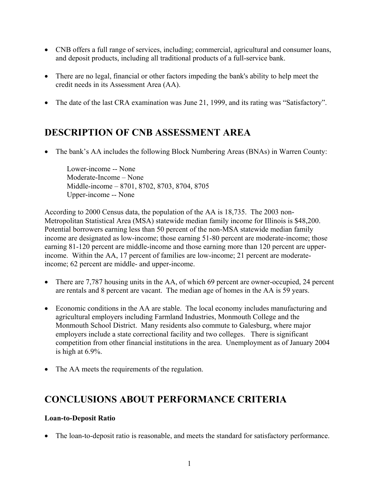- CNB offers a full range of services, including; commercial, agricultural and consumer loans, and deposit products, including all traditional products of a full-service bank.
- There are no legal, financial or other factors impeding the bank's ability to help meet the credit needs in its Assessment Area (AA).
- The date of the last CRA examination was June 21, 1999, and its rating was "Satisfactory".

## **DESCRIPTION OF CNB ASSESSMENT AREA**

• The bank's AA includes the following Block Numbering Areas (BNAs) in Warren County:

Lower-income -- None Moderate-Income – None Middle-income – 8701, 8702, 8703, 8704, 8705 Upper-income -- None

According to 2000 Census data, the population of the AA is 18,735. The 2003 non-Metropolitan Statistical Area (MSA) statewide median family income for Illinois is \$48,200. Potential borrowers earning less than 50 percent of the non-MSA statewide median family income are designated as low-income; those earning 51-80 percent are moderate-income; those earning 81-120 percent are middle-income and those earning more than 120 percent are upperincome. Within the AA, 17 percent of families are low-income; 21 percent are moderateincome; 62 percent are middle- and upper-income.

- There are 7,787 housing units in the AA, of which 69 percent are owner-occupied, 24 percent are rentals and 8 percent are vacant. The median age of homes in the AA is 59 years.
- Economic conditions in the AA are stable. The local economy includes manufacturing and agricultural employers including Farmland Industries, Monmouth College and the Monmouth School District. Many residents also commute to Galesburg, where major employers include a state correctional facility and two colleges. There is significant competition from other financial institutions in the area. Unemployment as of January 2004 is high at 6.9%.
- The AA meets the requirements of the regulation.

### **CONCLUSIONS ABOUT PERFORMANCE CRITERIA**

#### **Loan-to-Deposit Ratio**

• The loan-to-deposit ratio is reasonable, and meets the standard for satisfactory performance.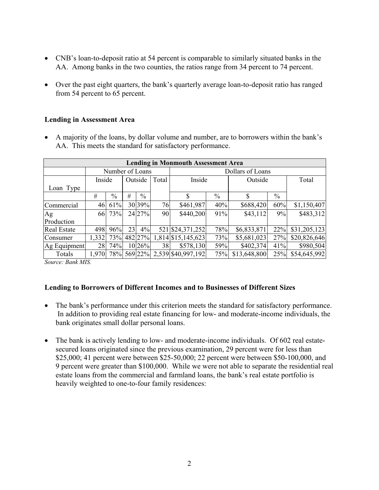- CNB's loan-to-deposit ratio at 54 percent is comparable to similarly situated banks in the AA. Among banks in the two counties, the ratios range from 34 percent to 74 percent.
- Over the past eight quarters, the bank's quarterly average loan-to-deposit ratio has ranged from 54 percent to 65 percent.

#### **Lending in Assessment Area**

• A majority of the loans, by dollar volume and number, are to borrowers within the bank's AA. This meets the standard for satisfactory performance.

| <b>Lending in Monmouth Assessment Area</b> |                 |      |    |               |       |                    |      |              |      |              |
|--------------------------------------------|-----------------|------|----|---------------|-------|--------------------|------|--------------|------|--------------|
|                                            | Number of Loans |      |    |               |       | Dollars of Loans   |      |              |      |              |
|                                            | Inside          |      |    | Outside       | Total | Inside             |      | Outside      |      | Total        |
| Loan Type                                  |                 |      |    |               |       |                    |      |              |      |              |
|                                            | #               | $\%$ | #  | $\frac{0}{0}$ |       | \$                 | $\%$ | \$           | $\%$ |              |
| Commercial                                 | 46              | 61%  |    | 30 39%        | 76    | \$461,987          | 40%  | \$688,420    | 60%  | \$1,150,407  |
| Ag                                         | 66              | 73%  |    | 24 27%        | 90    | \$440,200          | 91%  | \$43,112     | 9%   | \$483,312    |
| Production                                 |                 |      |    |               |       |                    |      |              |      |              |
| <b>Real Estate</b>                         | 498             | 96%  | 23 | 4%            |       | 521 \$24,371,252   | 78%  | \$6,833,871  | 22%  | \$31,205,123 |
| Consumer                                   | 1,332           | 73%  |    | 482 27%       |       | 1,814 \$15,145,623 | 73%  | \$5,681,023  | 27%  | \$20,826,646 |
| Ag Equipment                               | 28              | 74%  |    | 10 26%        | 38    | \$578,130          | 59%  | \$402,374    | 41%  | \$980,504    |
| Totals                                     | 1,970           | 78%  |    | 569 22%       |       | 2,539 \$40,997,192 | 75%  | \$13,648,800 | 25%  | \$54,645,992 |

*Source: Bank MIS.* 

#### **Lending to Borrowers of Different Incomes and to Businesses of Different Sizes**

- The bank's performance under this criterion meets the standard for satisfactory performance. In addition to providing real estate financing for low- and moderate-income individuals, the bank originates small dollar personal loans.
- The bank is actively lending to low- and moderate-income individuals. Of 602 real estatesecured loans originated since the previous examination, 29 percent were for less than \$25,000; 41 percent were between \$25-50,000; 22 percent were between \$50-100,000, and 9 percent were greater than \$100,000. While we were not able to separate the residential real estate loans from the commercial and farmland loans, the bank's real estate portfolio is heavily weighted to one-to-four family residences: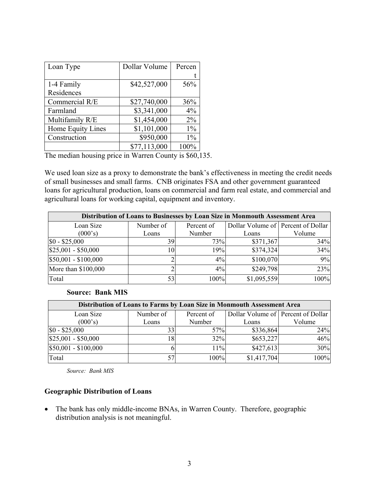| Loan Type         | Dollar Volume | Percen |
|-------------------|---------------|--------|
|                   |               |        |
| 1-4 Family        | \$42,527,000  | 56%    |
| Residences        |               |        |
| Commercial R/E    | \$27,740,000  | 36%    |
| Farmland          | \$3,341,000   | 4%     |
| Multifamily R/E   | \$1,454,000   | $2\%$  |
| Home Equity Lines | \$1,101,000   | $1\%$  |
| Construction      | \$950,000     | $1\%$  |
|                   | \$77,113,000  | 100%   |

The median housing price in Warren County is \$60,135.

We used loan size as a proxy to demonstrate the bank's effectiveness in meeting the credit needs of small businesses and small farms. CNB originates FSA and other government guaranteed loans for agricultural production, loans on commercial and farm real estate, and commercial and agricultural loans for working capital, equipment and inventory.

| Distribution of Loans to Businesses by Loan Size in Monmouth Assessment Area |           |            |                                    |        |  |  |  |
|------------------------------------------------------------------------------|-----------|------------|------------------------------------|--------|--|--|--|
| Loan Size                                                                    | Number of | Percent of | Dollar Volume of Percent of Dollar |        |  |  |  |
| (000's)                                                                      | Loans     | Number     | Loans                              | Volume |  |  |  |
| $\$0 - \$25,000$                                                             | 39        | 73%        | \$371,367                          | 34%    |  |  |  |
| $$25,001 - $50,000$                                                          | 10        | 19%        | \$374,324                          | 34%    |  |  |  |
| \$50,001 - \$100,000                                                         |           | $4\%$      | \$100,070                          | 9%     |  |  |  |
| More than \$100,000                                                          |           | $4\%$      | \$249,798                          | 23%    |  |  |  |
| Total                                                                        | 53        | 100%       | \$1,095,559                        | 100%   |  |  |  |

#### **Source: Bank MIS**

| Distribution of Loans to Farms by Loan Size in Monmouth Assessment Area |           |            |                                    |        |  |  |  |
|-------------------------------------------------------------------------|-----------|------------|------------------------------------|--------|--|--|--|
| Loan Size                                                               | Number of | Percent of | Dollar Volume of Percent of Dollar |        |  |  |  |
| (000's)                                                                 | Loans     | Number     | Loans                              | Volume |  |  |  |
| $$0 - $25,000$                                                          | 33        | 57%        | \$336,864                          | 24%    |  |  |  |
| $$25,001 - $50,000$                                                     | 18        | 32%        | \$653,227                          | 46%    |  |  |  |
| $$50,001 - $100,000$                                                    |           | $11\%$     | \$427,613                          | 30%    |  |  |  |
| Total                                                                   | 57        | 100%       | \$1,417,704                        | 100%   |  |  |  |

*Source: Bank MIS* 

#### **Geographic Distribution of Loans**

• The bank has only middle-income BNAs, in Warren County. Therefore, geographic distribution analysis is not meaningful.